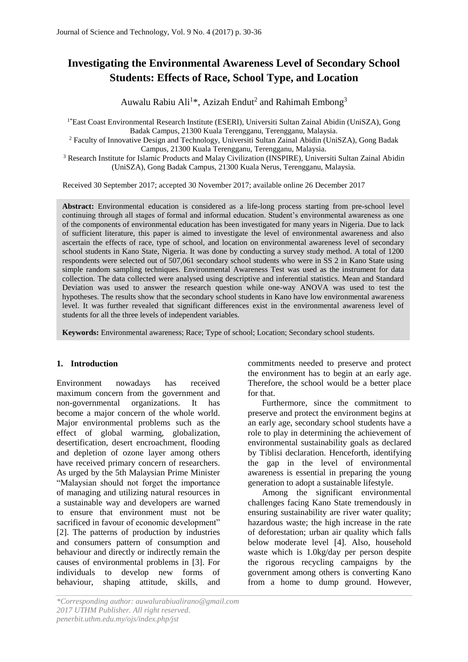# **Investigating the Environmental Awareness Level of Secondary School Students: Effects of Race, School Type, and Location**

Auwalu Rabiu Ali<sup>1\*</sup>, Azizah Endut<sup>2</sup> and Rahimah Embong<sup>3</sup>

1\*East Coast Environmental Research Institute (ESERI), Universiti Sultan Zainal Abidin (UniSZA), Gong Badak Campus, 21300 Kuala Terengganu, Terengganu, Malaysia. <sup>2</sup> Faculty of Innovative Design and Technology, Universiti Sultan Zainal Abidin (UniSZA), Gong Badak

Campus, 21300 Kuala Terengganu, Terengganu, Malaysia.

<sup>3</sup> Research Institute for Islamic Products and Malay Civilization (INSPIRE), Universiti Sultan Zainal Abidin (UniSZA), Gong Badak Campus, 21300 Kuala Nerus, Terengganu, Malaysia.

Received 30 September 2017; accepted 30 November 2017; available online 26 December 2017

**Abstract:** Environmental education is considered as a life-long process starting from pre-school level continuing through all stages of formal and informal education. Student's environmental awareness as one of the components of environmental education has been investigated for many years in Nigeria. Due to lack of sufficient literature, this paper is aimed to investigate the level of environmental awareness and also ascertain the effects of race, type of school, and location on environmental awareness level of secondary school students in Kano State, Nigeria. It was done by conducting a survey study method. A total of 1200 respondents were selected out of 507,061 secondary school students who were in SS 2 in Kano State using simple random sampling techniques. Environmental Awareness Test was used as the instrument for data collection. The data collected were analysed using descriptive and inferential statistics. Mean and Standard Deviation was used to answer the research question while one-way ANOVA was used to test the hypotheses. The results show that the secondary school students in Kano have low environmental awareness level. It was further revealed that significant differences exist in the environmental awareness level of students for all the three levels of independent variables.

**Keywords:** Environmental awareness; Race; Type of school; Location; Secondary school students.

#### **1. Introduction**

Environment nowadays has received maximum concern from the government and non-governmental organizations. It has become a major concern of the whole world. Major environmental problems such as the effect of global warming, globalization, desertification, desert encroachment, flooding and depletion of ozone layer among others have received primary concern of researchers. As urged by the 5th Malaysian Prime Minister "Malaysian should not forget the importance of managing and utilizing natural resources in a sustainable way and developers are warned to ensure that environment must not be sacrificed in favour of economic development" [2]. The patterns of production by industries and consumers pattern of consumption and behaviour and directly or indirectly remain the causes of environmental problems in [3]. For individuals to develop new forms of behaviour, shaping attitude, skills, and

commitments needed to preserve and protect the environment has to begin at an early age. Therefore, the school would be a better place for that.

Furthermore, since the commitment to preserve and protect the environment begins at an early age, secondary school students have a role to play in determining the achievement of environmental sustainability goals as declared by Tiblisi declaration. Henceforth, identifying the gap in the level of environmental awareness is essential in preparing the young generation to adopt a sustainable lifestyle.

Among the significant environmental challenges facing Kano State tremendously in ensuring sustainability are river water quality; hazardous waste; the high increase in the rate of deforestation; urban air quality which falls below moderate level [4]. Also, household waste which is 1.0kg/day per person despite the rigorous recycling campaigns by the government among others is converting Kano from a home to dump ground. However,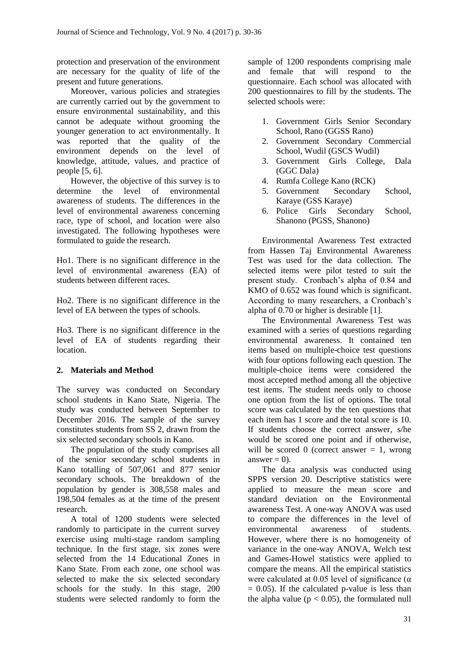protection and preservation of the environment are necessary for the quality of life of the present and future generations.

Moreover, various policies and strategies are currently carried out by the government to ensure environmental sustainability, and this cannot be adequate without grooming the younger generation to act environmentally. It was reported that the quality of the environment depends on the level of knowledge, attitude, values, and practice of people [5, 6].

However, the objective of this survey is to determine the level of environmental awareness of students. The differences in the level of environmental awareness concerning race, type of school, and location were also investigated. The following hypotheses were formulated to guide the research.

Ho1. There is no significant difference in the level of environmental awareness (EA) of students between different races.

Ho2. There is no significant difference in the level of EA between the types of schools.

Ho3. There is no significant difference in the level of EA of students regarding their location.

## **2. Materials and Method**

The survey was conducted on Secondary school students in Kano State, Nigeria. The study was conducted between September to December 2016. The sample of the survey constitutes students from SS 2, drawn from the six selected secondary schools in Kano.

The population of the study comprises all of the senior secondary school students in Kano totalling of 507,061 and 877 senior secondary schools. The breakdown of the population by gender is 308,558 males and 198,504 females as at the time of the present research.

A total of 1200 students were selected randomly to participate in the current survey exercise using multi-stage random sampling technique. In the first stage, six zones were selected from the 14 Educational Zones in Kano State. From each zone, one school was selected to make the six selected secondary schools for the study. In this stage, 200 students were selected randomly to form the sample of 1200 respondents comprising male and female that will respond to the questionnaire. Each school was allocated with 200 questionnaires to fill by the students. The selected schools were:

- 1. Government Girls Senior Secondary School, Rano (GGSS Rano)
- 2. Government Secondary Commercial School, Wudil (GSCS Wudil)
- 3. Government Girls College, Dala (GGC Dala)
- 4. Rumfa College Kano (RCK)
- 5. Government Secondary School, Karaye (GSS Karaye)
- 6. Police Girls Secondary School, Shanono (PGSS, Shanono)

Environmental Awareness Test extracted from Hassen Taj Environmental Awareness Test was used for the data collection. The selected items were pilot tested to suit the present study. Cronbach's alpha of 0.84 and KMO of 0.652 was found which is significant. According to many researchers, a Cronbach's alpha of 0.70 or higher is desirable [1].

The Environmental Awareness Test was examined with a series of questions regarding environmental awareness. It contained ten items based on multiple-choice test questions with four options following each question. The multiple-choice items were considered the most accepted method among all the objective test items. The student needs only to choose one option from the list of options. The total score was calculated by the ten questions that each item has 1 score and the total score is 10. If students choose the correct answer, s/he would be scored one point and if otherwise, will be scored 0 (correct answer  $= 1$ , wrong answer  $= 0$ ).

The data analysis was conducted using SPPS version 20. Descriptive statistics were applied to measure the mean score and standard deviation on the Environmental awareness Test. A one-way ANOVA was used to compare the differences in the level of environmental awareness of students. However, where there is no homogeneity of variance in the one-way ANOVA, Welch test and Games-Howel statistics were applied to compare the means. All the empirical statistics were calculated at 0.05 level of significance  $(\alpha)$  $= 0.05$ ). If the calculated p-value is less than the alpha value ( $p < 0.05$ ), the formulated null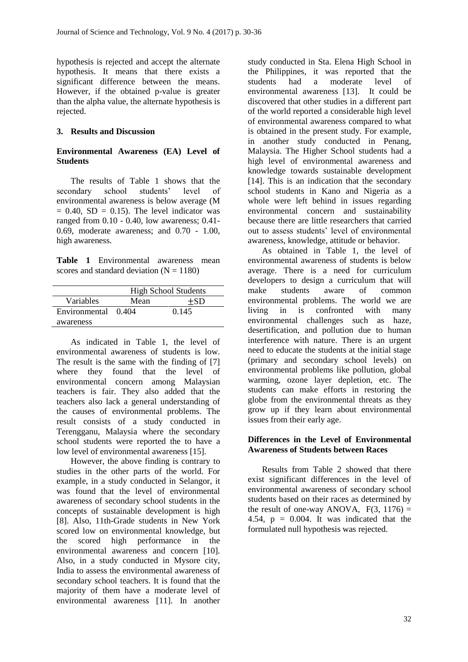hypothesis is rejected and accept the alternate hypothesis. It means that there exists a significant difference between the means. However, if the obtained p-value is greater than the alpha value, the alternate hypothesis is rejected.

## **3. Results and Discussion**

## **Environmental Awareness (EA) Level of Students**

The results of Table 1 shows that the secondary school students' level of environmental awareness is below average (M  $= 0.40$ , SD  $= 0.15$ ). The level indicator was ranged from 0.10 - 0.40, low awareness; 0.41- 0.69, moderate awareness; and 0.70 - 1.00, high awareness.

**Table 1** Environmental awareness mean scores and standard deviation  $(N = 1180)$ 

|                     | <b>High School Students</b> |       |  |  |
|---------------------|-----------------------------|-------|--|--|
| Variables           | Mean                        | $+SD$ |  |  |
| Environmental 0.404 |                             | 0.145 |  |  |
| awareness           |                             |       |  |  |

As indicated in Table 1, the level of environmental awareness of students is low. The result is the same with the finding of [7] where they found that the level of environmental concern among Malaysian teachers is fair. They also added that the teachers also lack a general understanding of the causes of environmental problems. The result consists of a study conducted in Terengganu, Malaysia where the secondary school students were reported the to have a low level of environmental awareness [15].

However, the above finding is contrary to studies in the other parts of the world. For example, in a study conducted in Selangor, it was found that the level of environmental awareness of secondary school students in the concepts of sustainable development is high [8]. Also, 11th-Grade students in New York scored low on environmental knowledge, but the scored high performance in the environmental awareness and concern [10]. Also, in a study conducted in Mysore city, India to assess the environmental awareness of secondary school teachers. It is found that the majority of them have a moderate level of environmental awareness [11]. In another study conducted in Sta. Elena High School in the Philippines, it was reported that the students had a moderate level of environmental awareness [13]. It could be discovered that other studies in a different part of the world reported a considerable high level of environmental awareness compared to what is obtained in the present study. For example, in another study conducted in Penang, Malaysia. The Higher School students had a high level of environmental awareness and knowledge towards sustainable development [14]. This is an indication that the secondary school students in Kano and Nigeria as a whole were left behind in issues regarding environmental concern and sustainability because there are little researchers that carried out to assess students' level of environmental awareness, knowledge, attitude or behavior.

As obtained in Table 1, the level of environmental awareness of students is below average. There is a need for curriculum developers to design a curriculum that will make students aware of common environmental problems. The world we are living in is confronted with many environmental challenges such as haze, desertification, and pollution due to human interference with nature. There is an urgent need to educate the students at the initial stage (primary and secondary school levels) on environmental problems like pollution, global warming, ozone layer depletion, etc. The students can make efforts in restoring the globe from the environmental threats as they grow up if they learn about environmental issues from their early age.

#### **Differences in the Level of Environmental Awareness of Students between Races**

Results from Table 2 showed that there exist significant differences in the level of environmental awareness of secondary school students based on their races as determined by the result of one-way ANOVA,  $F(3, 1176) =$ 4.54,  $p = 0.004$ . It was indicated that the formulated null hypothesis was rejected.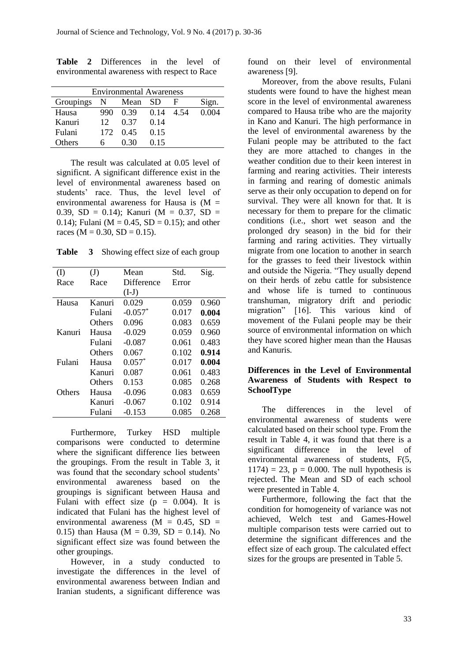| <b>Environmental Awareness</b> |      |      |      |       |       |
|--------------------------------|------|------|------|-------|-------|
| Groupings                      | N    | Mean | – SD | н     | Sign. |
| Hausa                          | 990  | 0.39 | 0.14 | -4-54 | 0.004 |
| Kanuri                         | 12   | 0.37 | 0.14 |       |       |
| Fulani                         | 172. | 0.45 | 0.15 |       |       |
| Others                         |      | 0.30 | 0.15 |       |       |

**Table 2** Differences in the level of environmental awareness with respect to Race

The result was calculated at 0.05 level of significnt. A significant difference exist in the level of environmental awareness based on students' race. Thus, the level level of environmental awareness for Hausa is  $(M =$ 0.39, SD = 0.14); Kanuri (M = 0.37, SD = 0.14); Fulani ( $M = 0.45$ ,  $SD = 0.15$ ); and other races ( $M = 0.30$ ,  $SD = 0.15$ ).

**Table 3** Showing effect size of each group

| (I)    | (J)           | Mean       | Std.  | Sig.  |
|--------|---------------|------------|-------|-------|
| Race   | Race          | Difference | Error |       |
|        |               | $(I-J)$    |       |       |
| Hausa  | Kanuri        | 0.029      | 0.059 | 0.960 |
|        | Fulani        | $-0.057*$  | 0.017 | 0.004 |
|        | <b>Others</b> | 0.096      | 0.083 | 0.659 |
| Kanuri | Hausa         | $-0.029$   | 0.059 | 0.960 |
|        | Fulani        | $-0.087$   | 0.061 | 0.483 |
|        | <b>Others</b> | 0.067      | 0.102 | 0.914 |
| Fulani | Hausa         | $0.057*$   | 0.017 | 0.004 |
|        | Kanuri        | 0.087      | 0.061 | 0.483 |
|        | Others        | 0.153      | 0.085 | 0.268 |
| Others | Hausa         | $-0.096$   | 0.083 | 0.659 |
|        | Kanuri        | $-0.067$   | 0.102 | 0.914 |
|        | Fulani        | $-0.153$   | 0.085 | 0.268 |

Furthermore, Turkey HSD multiple comparisons were conducted to determine where the significant difference lies between the groupings. From the result in Table 3, it was found that the secondary school students' environmental awareness based on the groupings is significant between Hausa and Fulani with effect size  $(p = 0.004)$ . It is indicated that Fulani has the highest level of environmental awareness ( $M = 0.45$ , SD = 0.15) than Hausa ( $M = 0.39$ ,  $SD = 0.14$ ). No significant effect size was found between the other groupings.

However, in a study conducted to investigate the differences in the level of environmental awareness between Indian and Iranian students, a significant difference was

found on their level of environmental awareness [9].

Moreover, from the above results, Fulani students were found to have the highest mean score in the level of environmental awareness compared to Hausa tribe who are the majority in Kano and Kanuri. The high performance in the level of environmental awareness by the Fulani people may be attributed to the fact they are more attached to changes in the weather condition due to their keen interest in farming and rearing activities. Their interests in farming and rearing of domestic animals serve as their only occupation to depend on for survival. They were all known for that. It is necessary for them to prepare for the climatic conditions (i.e., short wet season and the prolonged dry season) in the bid for their farming and raring activities. They virtually migrate from one location to another in search for the grasses to feed their livestock within and outside the Nigeria. "They usually depend on their herds of zebu cattle for subsistence and whose life is turned to continuous transhuman, migratory drift and periodic migration" [16]. This various kind of movement of the Fulani people may be their source of environmental information on which they have scored higher mean than the Hausas and Kanuris.

#### **Differences in the Level of Environmental Awareness of Students with Respect to SchoolType**

The differences in the level of environmental awareness of students were calculated based on their school type. From the result in Table 4, it was found that there is a significant difference in the level of environmental awareness of students, F(5,  $1174$ ) = 23, p = 0.000. The null hypothesis is rejected. The Mean and SD of each school were presented in Table 4.

Furthermore, following the fact that the condition for homogeneity of variance was not achieved, Welch test and Games-Howel multiple comparison tests were carried out to determine the significant differences and the effect size of each group. The calculated effect sizes for the groups are presented in Table 5.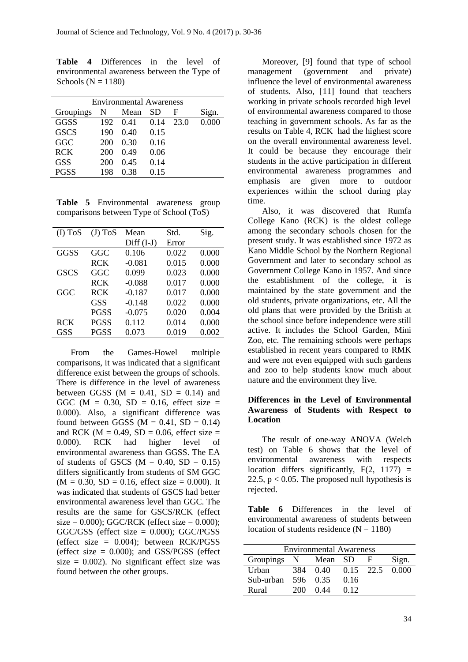**Table 4** Differences in the level of environmental awareness between the Type of Schools ( $N = 1180$ )

| <b>Environmental Awareness</b> |     |      |      |      |       |  |  |
|--------------------------------|-----|------|------|------|-------|--|--|
| Groupings                      | N   | Mean | SD   | F    | Sign. |  |  |
| GGSS                           | 192 | 0.41 | 0.14 | 23.0 | 0.000 |  |  |
| <b>GSCS</b>                    | 190 | 0.40 | 0.15 |      |       |  |  |
| GGC                            | 200 | 0.30 | 0.16 |      |       |  |  |
| <b>RCK</b>                     | 200 | 0.49 | 0.06 |      |       |  |  |
| <b>GSS</b>                     | 200 | 0.45 | 0.14 |      |       |  |  |
| PGSS                           | 198 | 0.38 | 0.15 |      |       |  |  |
|                                |     |      |      |      |       |  |  |

**Table 5** Environmental awareness group comparisons between Type of School (ToS)

| $(I)$ ToS   | $(J)$ ToS   | Mean         | Std.  | Sig.  |
|-------------|-------------|--------------|-------|-------|
|             |             | $Diff (I-J)$ | Error |       |
| GGSS        | GGC         | 0.106        | 0.022 | 0.000 |
|             | <b>RCK</b>  | $-0.081$     | 0.015 | 0.000 |
| <b>GSCS</b> | GGC         | 0.099        | 0.023 | 0.000 |
|             | <b>RCK</b>  | $-0.088$     | 0.017 | 0.000 |
| GGC         | <b>RCK</b>  | $-0.187$     | 0.017 | 0.000 |
|             | GSS         | $-0.148$     | 0.022 | 0.000 |
|             | <b>PGSS</b> | $-0.075$     | 0.020 | 0.004 |
| <b>RCK</b>  | <b>PGSS</b> | 0.112        | 0.014 | 0.000 |
| <b>GSS</b>  | <b>PGSS</b> | 0.073        | 0.019 | 0.002 |
|             |             |              |       |       |

From the Games-Howel multiple comparisons, it was indicated that a significant difference exist between the groups of schools. There is difference in the level of awareness between GGSS ( $M = 0.41$ ,  $SD = 0.14$ ) and GGC ( $M = 0.30$ , SD = 0.16, effect size = 0.000). Also, a significant difference was found between GGSS ( $M = 0.41$ , SD = 0.14) and RCK ( $M = 0.49$ , SD = 0.06, effect size = 0.000). RCK had higher level of environmental awareness than GGSS. The EA of students of GSCS ( $M = 0.40$ , SD = 0.15) differs significantly from students of SM GGC  $(M = 0.30, SD = 0.16,$  effect size = 0.000). It was indicated that students of GSCS had better environmental awareness level than GGC. The results are the same for GSCS/RCK (effect size =  $0.000$ ); GGC/RCK (effect size =  $0.000$ ); GGC/GSS (effect size = 0.000); GGC/PGSS (effect size  $= 0.004$ ); between RCK/PGSS (effect size  $= 0.000$ ); and GSS/PGSS (effect size  $= 0.002$ ). No significant effect size was found between the other groups.

Moreover, [9] found that type of school management (government and private) influence the level of environmental awareness of students. Also, [11] found that teachers working in private schools recorded high level of environmental awareness compared to those teaching in government schools. As far as the results on Table 4, RCK had the highest score on the overall environmental awareness level. It could be because they encourage their students in the active participation in different environmental awareness programmes and emphasis are given more to outdoor experiences within the school during play time.

Also, it was discovered that Rumfa College Kano (RCK) is the oldest college among the secondary schools chosen for the present study. It was established since 1972 as Kano Middle School by the Northern Regional Government and later to secondary school as Government College Kano in 1957. And since the establishment of the college, it is maintained by the state government and the old students, private organizations, etc. All the old plans that were provided by the British at the school since before independence were still active. It includes the School Garden, Mini Zoo, etc. The remaining schools were perhaps established in recent years compared to RMK and were not even equipped with such gardens and zoo to help students know much about nature and the environment they live.

#### **Differences in the Level of Environmental Awareness of Students with Respect to Location**

The result of one-way ANOVA (Welch test) on Table 6 shows that the level of environmental awareness with respects location differs significantly,  $F(2, 1177) =$ 22.5,  $p < 0.05$ . The proposed null hypothesis is rejected.

**Table 6** Differences in the level of environmental awareness of students between location of students residence  $(N = 1180)$ 

| <b>Environmental Awareness</b> |     |          |      |             |       |
|--------------------------------|-----|----------|------|-------------|-------|
| Groupings                      | N   | Mean     | - SD | - H -       | Sign. |
| Urban                          | 384 | 0.40     |      | $0.15$ 22.5 | 0.000 |
| Sub-urban                      |     | 596 0.35 | 0.16 |             |       |
| Rural                          | 200 | 0.44     | 0.12 |             |       |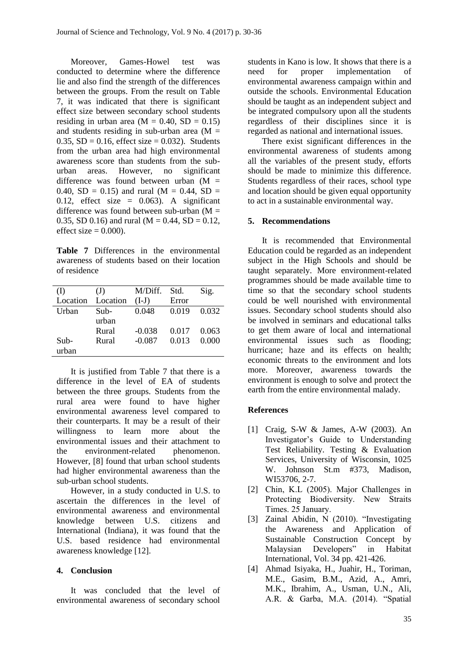Moreover, Games-Howel test was conducted to determine where the difference lie and also find the strength of the differences between the groups. From the result on Table 7, it was indicated that there is significant effect size between secondary school students residing in urban area  $(M = 0.40, SD = 0.15)$ and students residing in sub-urban area  $(M =$ 0.35,  $SD = 0.16$ , effect size = 0.032). Students from the urban area had high environmental awareness score than students from the suburban areas. However, no significant difference was found between urban  $(M =$ 0.40,  $SD = 0.15$ ) and rural (M = 0.44, SD = 0.12, effect size =  $0.063$ ). A significant difference was found between sub-urban  $(M =$ 0.35, SD 0.16) and rural ( $M = 0.44$ , SD = 0.12, effect size  $= 0.000$ ).

**Table 7** Differences in the environmental awareness of students based on their location of residence

| (I)      | (J)      | M/Diff.  | Std.  | Sig.  |
|----------|----------|----------|-------|-------|
| Location | Location | $(I-J)$  | Error |       |
| Urban    | Sub-     | 0.048    | 0.019 | 0.032 |
|          | urban    |          |       |       |
|          | Rural    | $-0.038$ | 0.017 | 0.063 |
| Sub-     | Rural    | $-0.087$ | 0.013 | 0.000 |
| urban    |          |          |       |       |
|          |          |          |       |       |

It is justified from Table 7 that there is a difference in the level of EA of students between the three groups. Students from the rural area were found to have higher environmental awareness level compared to their counterparts. It may be a result of their willingness to learn more about the environmental issues and their attachment to the environment-related phenomenon. However, [8] found that urban school students had higher environmental awareness than the sub-urban school students.

However, in a study conducted in U.S. to ascertain the differences in the level of environmental awareness and environmental knowledge between U.S. citizens and International (Indiana), it was found that the U.S. based residence had environmental awareness knowledge [12].

#### **4. Conclusion**

It was concluded that the level of environmental awareness of secondary school

students in Kano is low. It shows that there is a need for proper implementation of environmental awareness campaign within and outside the schools. Environmental Education should be taught as an independent subject and be integrated compulsory upon all the students regardless of their disciplines since it is regarded as national and international issues.

There exist significant differences in the environmental awareness of students among all the variables of the present study, efforts should be made to minimize this difference. Students regardless of their races, school type and location should be given equal opportunity to act in a sustainable environmental way.

#### **5. Recommendations**

It is recommended that Environmental Education could be regarded as an independent subject in the High Schools and should be taught separately. More environment-related programmes should be made available time to time so that the secondary school students could be well nourished with environmental issues. Secondary school students should also be involved in seminars and educational talks to get them aware of local and international environmental issues such as flooding; hurricane; haze and its effects on health; economic threats to the environment and lots more. Moreover, awareness towards the environment is enough to solve and protect the earth from the entire environmental malady.

#### **References**

- [1] Craig, S-W & James, A-W (2003). An Investigator's Guide to Understanding Test Reliability. Testing & Evaluation Services, University of Wisconsin, 1025 W. Johnson St.m #373, Madison, WI53706, 2-7.
- [2] Chin, K.L (2005). Major Challenges in Protecting Biodiversity. New Straits Times. 25 January.
- [3] Zainal Abidin, N (2010). "Investigating the Awareness and Application of Sustainable Construction Concept by Malaysian Developers" in Habitat International, Vol. 34 pp. 421-426.
- [4] Ahmad Isiyaka, H., Juahir, H., Toriman, M.E., Gasim, B.M., Azid, A., Amri, M.K., Ibrahim, A., Usman, U.N., Ali, A.R. & Garba, M.A. (2014). "Spatial